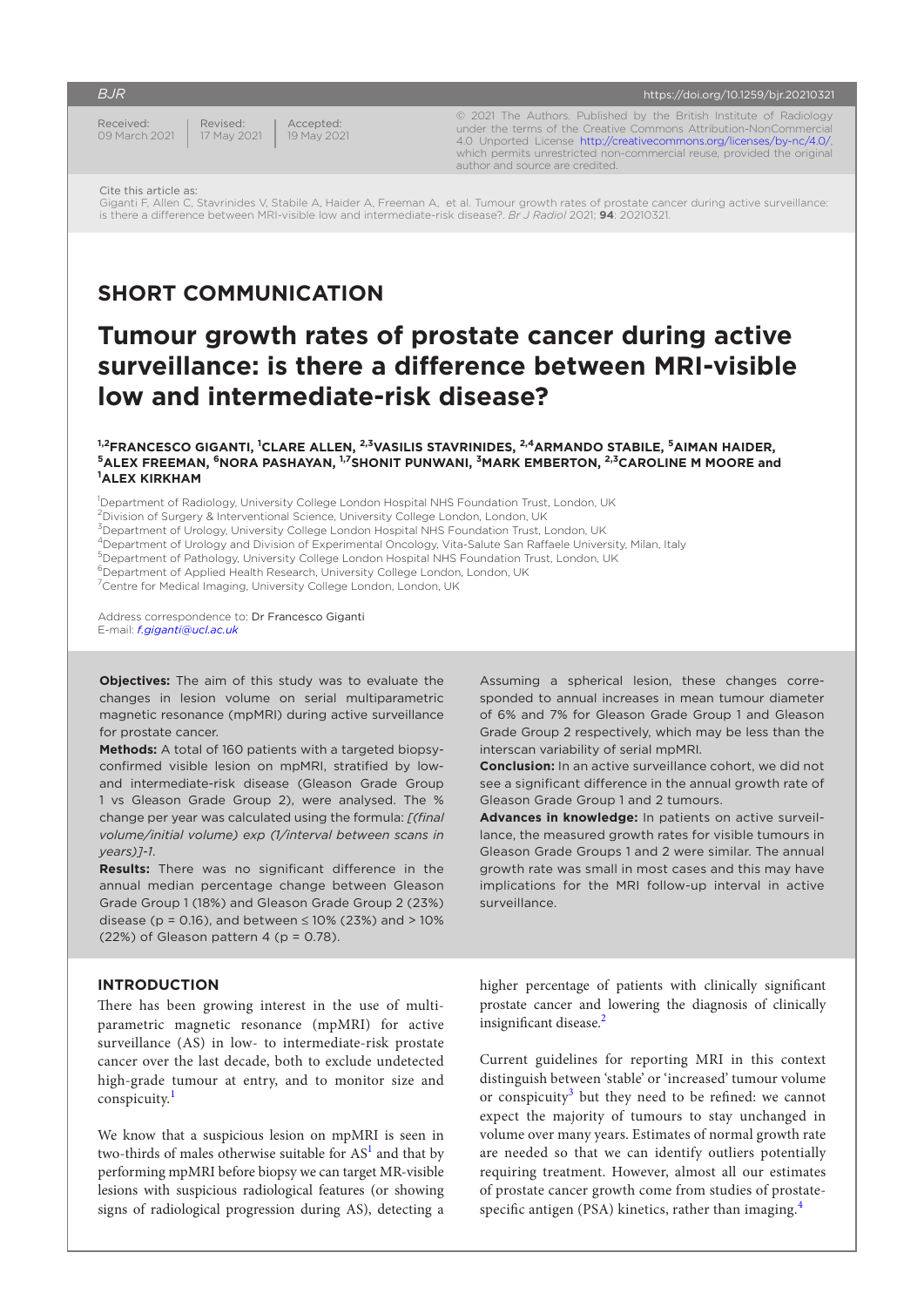Received: 09 March 2021

Accepted: 19 May 2021 Revised: 17 May 2021

© 2021 The Authors. Published by the British Institute of Radiology under the terms of the Creative Commons Attribution-NonCommercial 4.0 Unported License <http://creativecommons.org/licenses/by-nc/4.0/>, which permits unrestricted non-commercial reuse, provided the original author and source are credited.

Giganti F, Allen C, Stavrinides V, Stabile A, Haider A, Freeman A, et al. Tumour growth rates of prostate cancer during active surveillance: is there a difference between MRI-visible low and intermediate-risk disease?. *Br J Radiol* 2021; **94**: 20210321.

# **SHORT COMMUNICATION**

# **Tumour growth rates of prostate cancer during active surveillance: is there a difference between MRI-visible low and intermediate-risk disease?**

#### <sup>1,2</sup>FRANCESCO GIGANTI, <sup>1</sup>CLARE ALLEN, <sup>2,3</sup>VASILIS STAVRINIDES, <sup>2,4</sup>ARMANDO STABILE, <sup>5</sup>AIMAN HAIDER,  $^5$ ALEX FREEMAN,  $^6$ NORA PASHAYAN,  $^{1,7}$ SHONIT PUNWANI,  $^3$ MARK EMBERTON,  $^{2,3}$ CAROLINE M MOORE and **ALEX KIRKHAM**

<sup>1</sup>Department of Radiology, University College London Hospital NHS Foundation Trust, London, UK

 $^{2}$ Division of Surgery & Interventional Science, University College London, London, UK

<sup>3</sup>Department of Urology, University College London Hospital NHS Foundation Trust, London, UK

- 4Department of Urology and Division of Experimental Oncology, Vita-Salute San Raffaele University, Milan, Italy
- 5Department of Pathology, University College London Hospital NHS Foundation Trust, London, UK

<sup>6</sup>Department of Applied Health Research, University College London, London, UK

7Centre for Medical Imaging, University College London, London, UK

Address correspondence to: Dr Francesco Giganti E-mail: *[f.giganti@ucl.ac.uk](mailto:f.giganti@ucl.ac.uk)*

**Objectives:** The aim of this study was to evaluate the changes in lesion volume on serial multiparametric magnetic resonance (mpMRI) during active surveillance for prostate cancer.

**Methods:** A total of 160 patients with a targeted biopsyconfirmed visible lesion on mpMRI, stratified by lowand intermediate-risk disease (Gleason Grade Group 1 vs Gleason Grade Group 2), were analysed. The % change per year was calculated using the formula: *[(final volume/initial volume) exp (1/interval between scans in years)]-1*.

**Results:** There was no significant difference in the annual median percentage change between Gleason Grade Group 1 (18%) and Gleason Grade Group 2 (23%) disease ( $p = 0.16$ ), and between ≤ 10% (23%) and > 10%  $(22%)$  of Gleason pattern 4 (p = 0.78).

# **INTRODUCTION**

There has been growing interest in the use of multiparametric magnetic resonance (mpMRI) for active surveillance (AS) in low- to intermediate-risk prostate cancer over the last decade, both to exclude undetected high-grade tumour at entry, and to monitor size and conspicuity.<sup>[1](#page-3-0)</sup>

We know that a suspicious lesion on mpMRI is seen in two-thirds of males otherwise suitable for  $AS<sup>1</sup>$  $AS<sup>1</sup>$  $AS<sup>1</sup>$  and that by performing mpMRI before biopsy we can target MR-visible lesions with suspicious radiological features (or showing signs of radiological progression during AS), detecting a Assuming a spherical lesion, these changes corresponded to annual increases in mean tumour diameter of 6% and 7% for Gleason Grade Group 1 and Gleason Grade Group 2 respectively, which may be less than the interscan variability of serial mpMRI.

**Conclusion:** In an active surveillance cohort, we did not see a significant difference in the annual growth rate of Gleason Grade Group 1 and 2 tumours.

**Advances in knowledge:** In patients on active surveillance, the measured growth rates for visible tumours in Gleason Grade Groups 1 and 2 were similar. The annual growth rate was small in most cases and this may have implications for the MRI follow-up interval in active surveillance.

higher percentage of patients with clinically significant prostate cancer and lowering the diagnosis of clinically insignificant disease.<sup>[2](#page-3-1)</sup>

Current guidelines for reporting MRI in this context distinguish between 'stable' or 'increased' tumour volume or conspicuity<sup>[3](#page-3-2)</sup> but they need to be refined: we cannot expect the majority of tumours to stay unchanged in volume over many years. Estimates of normal growth rate are needed so that we can identify outliers potentially requiring treatment. However, almost all our estimates of prostate cancer growth come from studies of prostatespecific antigen (PSA) kinetics, rather than imaging. $4$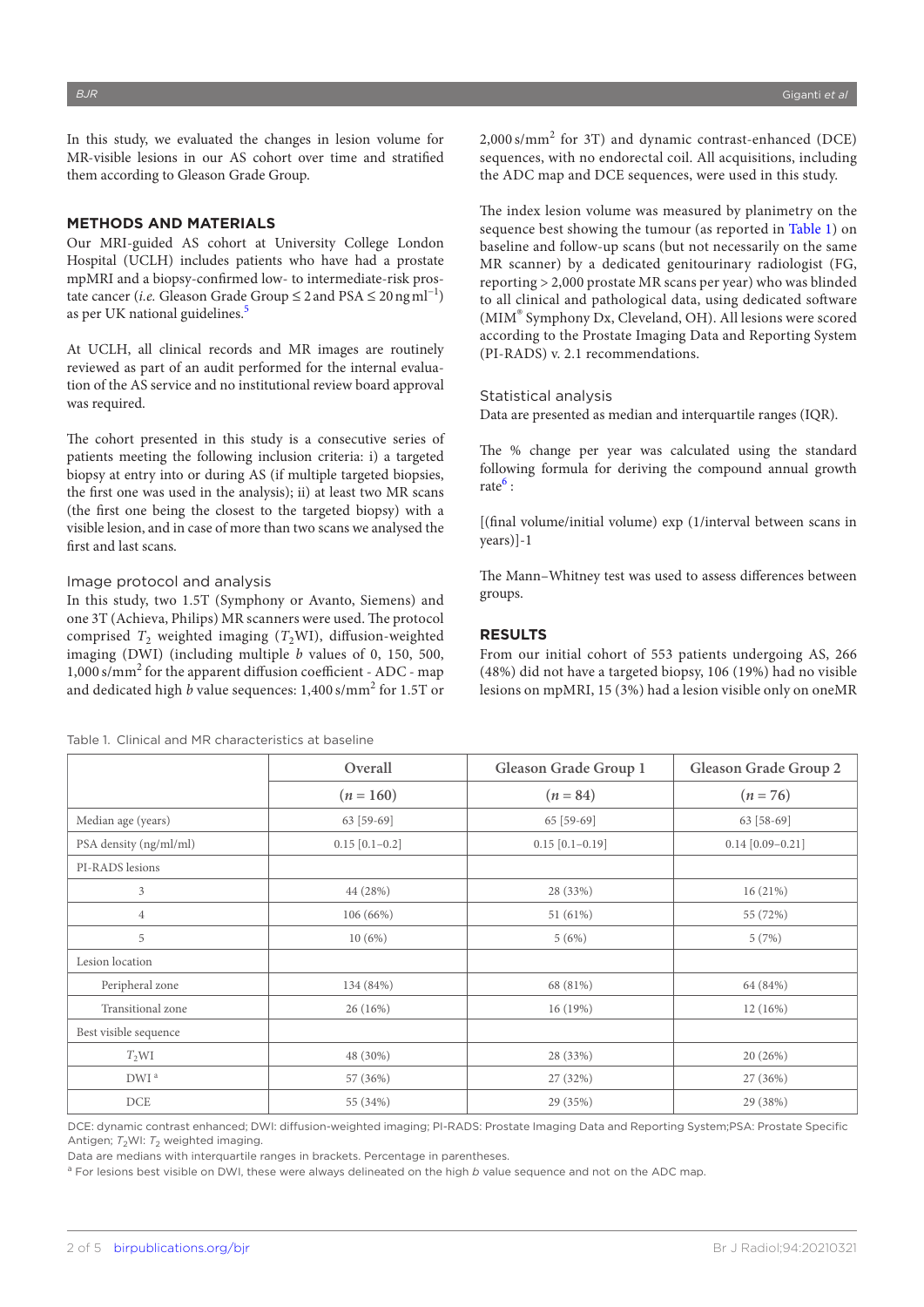In this study, we evaluated the changes in lesion volume for MR-visible lesions in our AS cohort over time and stratified them according to Gleason Grade Group.

# **METHODS AND MATERIALS**

Our MRI-guided AS cohort at University College London Hospital (UCLH) includes patients who have had a prostate mpMRI and a biopsy-confirmed low- to intermediate-risk prostate cancer (*i.e.* Gleason Grade Group ≤ 2 and PSA ≤ 20ngml−1) as per UK national guidelines.<sup>5</sup>

At UCLH, all clinical records and MR images are routinely reviewed as part of an audit performed for the internal evaluation of the AS service and no institutional review board approval was required.

The cohort presented in this study is a consecutive series of patients meeting the following inclusion criteria: i) a targeted biopsy at entry into or during AS (if multiple targeted biopsies, the first one was used in the analysis); ii) at least two MR scans (the first one being the closest to the targeted biopsy) with a visible lesion, and in case of more than two scans we analysed the first and last scans.

## Image protocol and analysis

In this study, two 1.5T (Symphony or Avanto, Siemens) and one 3T (Achieva, Philips) MR scanners were used. The protocol comprised  $T_2$  weighted imaging ( $T_2$ WI), diffusion-weighted imaging (DWI) (including multiple *b* values of 0, 150, 500, 1,000 s/mm<sup>2</sup> for the apparent diffusion coefficient - ADC - map and dedicated high *b* value sequences: 1,400 s/mm<sup>2</sup> for 1.5T or

<span id="page-1-0"></span>Table 1. Clinical and MR characteristics at baseline

2,000 s/mm<sup>2</sup> for 3T) and dynamic contrast-enhanced (DCE) sequences, with no endorectal coil. All acquisitions, including the ADC map and DCE sequences, were used in this study.

The index lesion volume was measured by planimetry on the sequence best showing the tumour (as reported in [Table 1](#page-1-0)) on baseline and follow-up scans (but not necessarily on the same MR scanner) by a dedicated genitourinary radiologist (FG, reporting > 2,000 prostate MR scans per year) who was blinded to all clinical and pathological data, using dedicated software (MIM® Symphony Dx, Cleveland, OH). All lesions were scored according to the Prostate Imaging Data and Reporting System (PI-RADS) v. 2.1 recommendations.

#### Statistical analysis

Data are presented as median and interquartile ranges (IQR).

The % change per year was calculated using the standard following formula for deriving the compound annual growth rate<sup>[6](#page-3-5)</sup>:

[(final volume/initial volume) exp (1/interval between scans in years)]-1

The Mann–Whitney test was used to assess differences between groups.

# **RESULTS**

From our initial cohort of 553 patients undergoing AS, 266 (48%) did not have a targeted biopsy, 106 (19%) had no visible lesions on mpMRI, 15 (3%) had a lesion visible only on oneMR

|                        | Overall          | Gleason Grade Group 1 | Gleason Grade Group 2 |  |
|------------------------|------------------|-----------------------|-----------------------|--|
|                        | $(n = 160)$      | $(n = 84)$            | $(n = 76)$            |  |
| Median age (years)     | 63 [59-69]       | $65$ [59-69]          | 63 [58-69]            |  |
| PSA density (ng/ml/ml) | $0.15$ [0.1-0.2] | $0.15$ [0.1-0.19]     | $0.14$ [0.09-0.21]    |  |
| PI-RADS lesions        |                  |                       |                       |  |
| $\mathfrak{Z}$         | 44 (28%)         | 28 (33%)              | 16(21%)               |  |
| $\overline{4}$         | 106 (66%)        | 51 (61%)              | 55 (72%)              |  |
| 5                      | 10(6%)           | 5(6%)                 | 5(7%)                 |  |
| Lesion location        |                  |                       |                       |  |
| Peripheral zone        | 134 (84%)        | 68 (81%)              | 64 (84%)              |  |
| Transitional zone      | $26(16\%)$       | 16(19%)               | 12(16%)               |  |
| Best visible sequence  |                  |                       |                       |  |
| $T_2WI$                | 48 (30%)         | 28 (33%)              | 20 (26%)              |  |
| DWI <sup>a</sup>       | 57 (36%)         | 27 (32%)              | 27 (36%)              |  |
| DCE                    | 55 (34%)         | 29 (35%)              | 29 (38%)              |  |

DCE: dynamic contrast enhanced; DWI: diffusion-weighted imaging; PI-RADS: Prostate Imaging Data and Reporting System;PSA: Prostate Specific Antigen;  $T_2$ WI:  $T_2$  weighted imaging.

Data are medians with interquartile ranges in brackets. Percentage in parentheses.

a For lesions best visible on DWI, these were always delineated on the high *b* value sequence and not on the ADC map.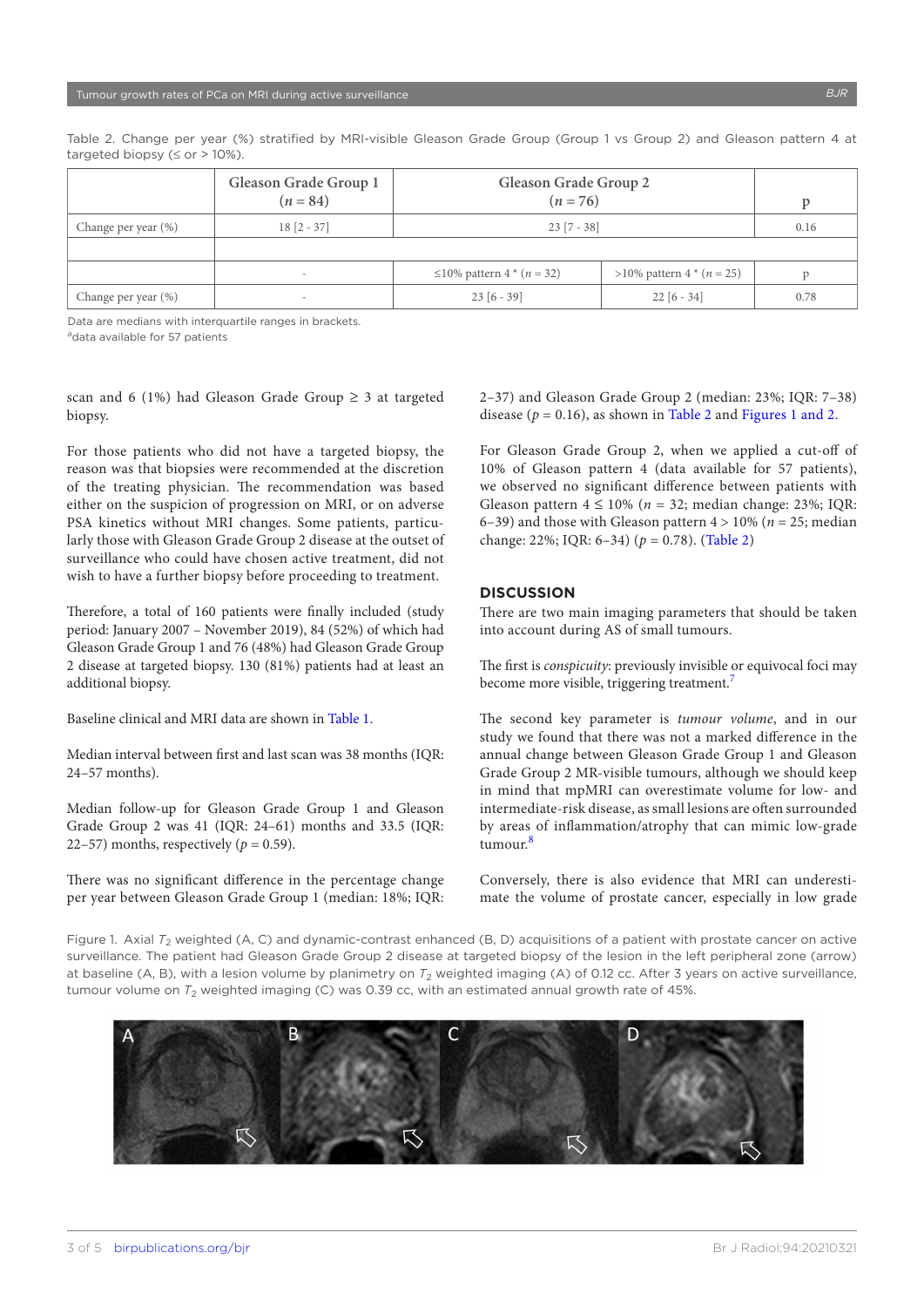|                     | Gleason Grade Group 1<br>$(n = 84)$ | Gleason Grade Group 2<br>$(n = 76)$ |                               |      |
|---------------------|-------------------------------------|-------------------------------------|-------------------------------|------|
| Change per year (%) | $18 [2 - 37]$                       | $23 [7 - 38]$                       | 0.16                          |      |
|                     |                                     |                                     |                               |      |
|                     | $\,$                                | ≤10% pattern 4 $*(n = 32)$          | $>10\%$ pattern 4 $*(n = 25)$ |      |
| Change per year (%) | -                                   | $23[6 - 39]$                        | $22[6 - 34]$                  | 0.78 |

<span id="page-2-0"></span>Table 2. Change per year (%) stratified by MRI-visible Gleason Grade Group (Group 1 vs Group 2) and Gleason pattern 4 at targeted biopsy ( $\leq$  or  $>$  10%).

Data are medians with interquartile ranges in brackets.

<sup>a</sup>data available for 57 patients

scan and 6 (1%) had Gleason Grade Group  $\geq$  3 at targeted biopsy.

For those patients who did not have a targeted biopsy, the reason was that biopsies were recommended at the discretion of the treating physician. The recommendation was based either on the suspicion of progression on MRI, or on adverse PSA kinetics without MRI changes. Some patients, particularly those with Gleason Grade Group 2 disease at the outset of surveillance who could have chosen active treatment, did not wish to have a further biopsy before proceeding to treatment.

Therefore, a total of 160 patients were finally included (study period: January 2007 – November 2019), 84 (52%) of which had Gleason Grade Group 1 and 76 (48%) had Gleason Grade Group 2 disease at targeted biopsy. 130 (81%) patients had at least an additional biopsy.

Baseline clinical and MRI data are shown in [Table 1](#page-1-0).

Median interval between first and last scan was 38 months (IQR: 24–57 months).

Median follow-up for Gleason Grade Group 1 and Gleason Grade Group 2 was 41 (IQR: 24–61) months and 33.5 (IQR: 22–57) months, respectively ( $p = 0.59$ ).

There was no significant difference in the percentage change per year between Gleason Grade Group 1 (median: 18%; IQR: 2–37) and Gleason Grade Group 2 (median: 23%; IQR: 7–38) disease  $(p = 0.16)$ , as shown in [Table 2](#page-2-0) and [Figures 1 and 2.](#page-2-1)

For Gleason Grade Group 2, when we applied a cut-off of 10% of Gleason pattern 4 (data available for 57 patients), we observed no significant difference between patients with Gleason pattern  $4 \le 10\%$  ( $n = 32$ ; median change: 23%; IQR: 6–39) and those with Gleason pattern  $4 > 10\%$  ( $n = 25$ ; median change: 22%; IQR: 6–34) (*p* = 0.78). ([Table 2\)](#page-2-0)

# **DISCUSSION**

There are two main imaging parameters that should be taken into account during AS of small tumours.

The first is *conspicuity*: previously invisible or equivocal foci may become more visible, triggering treatment.<sup>7</sup>

The second key parameter is *tumour volume*, and in our study we found that there was not a marked difference in the annual change between Gleason Grade Group 1 and Gleason Grade Group 2 MR-visible tumours, although we should keep in mind that mpMRI can overestimate volume for low- and intermediate-risk disease, as small lesions are often surrounded by areas of inflammation/atrophy that can mimic low-grade tumour.[8](#page-4-0)

Conversely, there is also evidence that MRI can underestimate the volume of prostate cancer, especially in low grade

<span id="page-2-1"></span>Figure 1. Axial T<sub>2</sub> weighted (A, C) and dynamic-contrast enhanced (B, D) acquisitions of a patient with prostate cancer on active surveillance. The patient had Gleason Grade Group 2 disease at targeted biopsy of the lesion in the left peripheral zone (arrow) at baseline (A, B), with a lesion volume by planimetry on  $T_2$  weighted imaging (A) of 0.12 cc. After 3 years on active surveillance, tumour volume on  $T_2$  weighted imaging (C) was 0.39 cc, with an estimated annual growth rate of 45%.

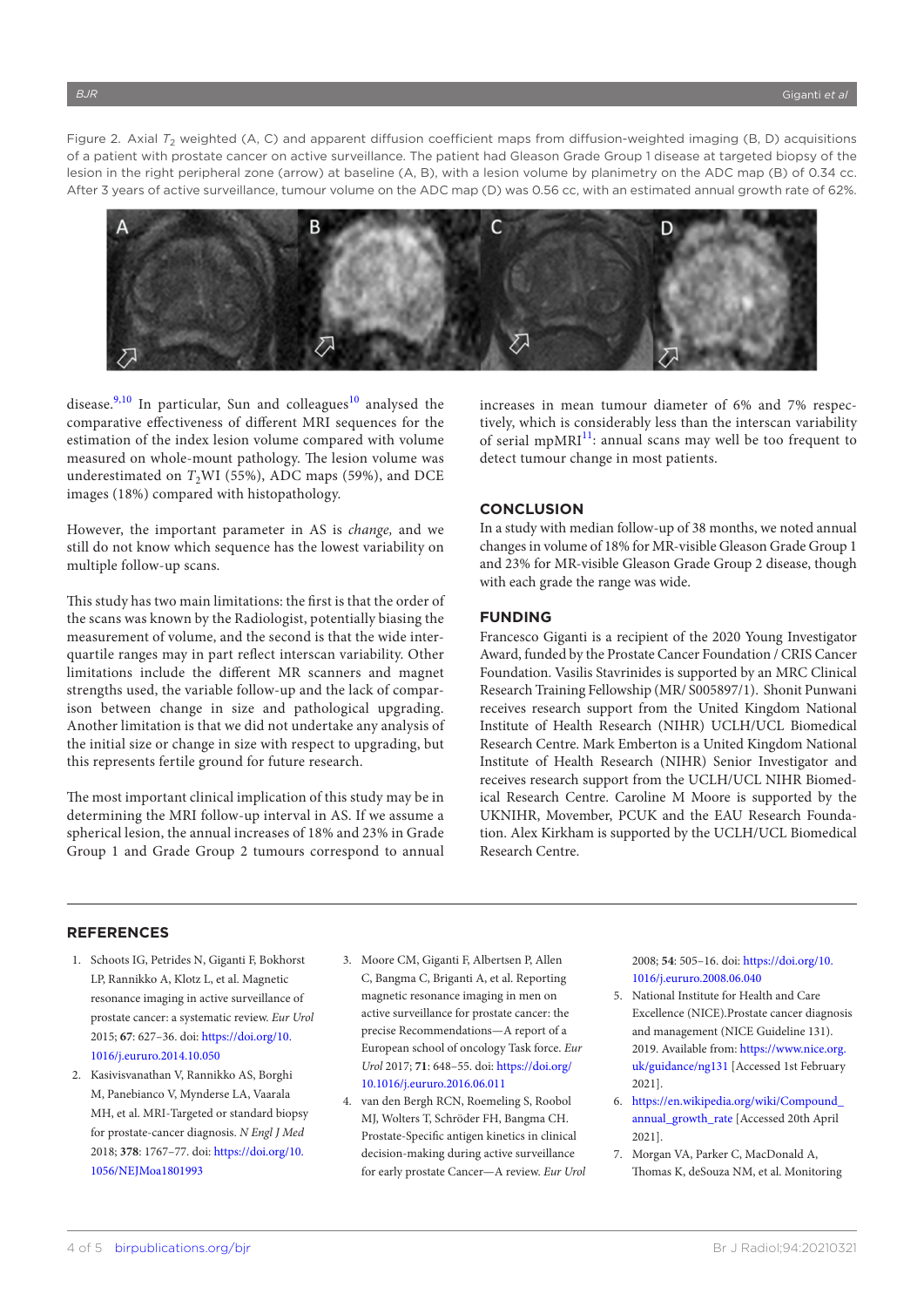Figure 2. Axial T<sub>2</sub> weighted (A, C) and apparent diffusion coefficient maps from diffusion-weighted imaging (B, D) acquisitions of a patient with prostate cancer on active surveillance. The patient had Gleason Grade Group 1 disease at targeted biopsy of the lesion in the right peripheral zone (arrow) at baseline (A, B), with a lesion volume by planimetry on the ADC map (B) of 0.34 cc. After 3 years of active surveillance, tumour volume on the ADC map (D) was 0.56 cc, with an estimated annual growth rate of 62%.



disease.<sup>[9,10](#page-4-1)</sup> In particular, Sun and colleagues<sup>10</sup> analysed the comparative effectiveness of different MRI sequences for the estimation of the index lesion volume compared with volume measured on whole-mount pathology. The lesion volume was underestimated on *T*<sub>2</sub>WI (55%), ADC maps (59%), and DCE images (18%) compared with histopathology.

However, the important parameter in AS is *change,* and we still do not know which sequence has the lowest variability on multiple follow-up scans.

This study has two main limitations: the first is that the order of the scans was known by the Radiologist, potentially biasing the measurement of volume, and the second is that the wide interquartile ranges may in part reflect interscan variability. Other limitations include the different MR scanners and magnet strengths used, the variable follow-up and the lack of comparison between change in size and pathological upgrading. Another limitation is that we did not undertake any analysis of the initial size or change in size with respect to upgrading, but this represents fertile ground for future research.

The most important clinical implication of this study may be in determining the MRI follow-up interval in AS. If we assume a spherical lesion, the annual increases of 18% and 23% in Grade Group 1 and Grade Group 2 tumours correspond to annual increases in mean tumour diameter of 6% and 7% respectively, which is considerably less than the interscan variability of serial mpMRI $<sup>11</sup>$ : annual scans may well be too frequent to</sup> detect tumour change in most patients.

#### **CONCLUSION**

In a study with median follow-up of 38 months, we noted annual changes in volume of 18% for MR-visible Gleason Grade Group 1 and 23% for MR-visible Gleason Grade Group 2 disease, though with each grade the range was wide.

## **FUNDING**

Francesco Giganti is a recipient of the 2020 Young Investigator Award, funded by the Prostate Cancer Foundation / CRIS Cancer Foundation. Vasilis Stavrinides is supported by an MRC Clinical Research Training Fellowship (MR/ S005897/1). Shonit Punwani receives research support from the United Kingdom National Institute of Health Research (NIHR) UCLH/UCL Biomedical Research Centre. Mark Emberton is a United Kingdom National Institute of Health Research (NIHR) Senior Investigator and receives research support from the UCLH/UCL NIHR Biomedical Research Centre. Caroline M Moore is supported by the UKNIHR, Movember, PCUK and the EAU Research Foundation. Alex Kirkham is supported by the UCLH/UCL Biomedical Research Centre.

# **REFERENCES**

- <span id="page-3-0"></span>1. Schoots IG, Petrides N, Giganti F, Bokhorst LP, Rannikko A, Klotz L, et al. Magnetic resonance imaging in active surveillance of prostate cancer: a systematic review. *Eur Urol* 2015; **67**: 627–36. doi: [https://doi.org/10.](https://doi.org/10.1016/j.eururo.2014.10.050) [1016/j.eururo.2014.10.050](https://doi.org/10.1016/j.eururo.2014.10.050)
- <span id="page-3-1"></span>2. Kasivisvanathan V, Rannikko AS, Borghi M, Panebianco V, Mynderse LA, Vaarala MH, et al. MRI-Targeted or standard biopsy for prostate-cancer diagnosis. *N Engl J Med* 2018; **378**: 1767–77. doi: [https://doi.org/10.](https://doi.org/10.1056/NEJMoa1801993) [1056/NEJMoa1801993](https://doi.org/10.1056/NEJMoa1801993)
- <span id="page-3-2"></span>3. Moore CM, Giganti F, Albertsen P, Allen C, Bangma C, Briganti A, et al. Reporting magnetic resonance imaging in men on active surveillance for prostate cancer: the precise Recommendations—A report of a European school of oncology Task force. *Eur Urol* 2017; **71**: 648–55. doi: [https://doi.org/](https://doi.org/10.1016/j.eururo.2016.06.011) [10.1016/j.eururo.2016.06.011](https://doi.org/10.1016/j.eururo.2016.06.011)
- <span id="page-3-3"></span>4. van den Bergh RCN, Roemeling S, Roobol MJ, Wolters T, Schröder FH, Bangma CH. Prostate-Specific antigen kinetics in clinical decision-making during active surveillance for early prostate Cancer—A review. *Eur Urol*

2008; **54**: 505–16. doi: [https://doi.org/10.](https://doi.org/10.1016/j.eururo.2008.06.040) [1016/j.eururo.2008.06.040](https://doi.org/10.1016/j.eururo.2008.06.040)

- <span id="page-3-4"></span>5. National Institute for Health and Care Excellence (NICE).Prostate cancer diagnosis and management (NICE Guideline 131). 2019. Available from: [https://www.nice.org.](https://www.nice.org.uk/guidance/ng131) [uk/guidance/ng131](https://www.nice.org.uk/guidance/ng131) [Accessed 1st February 2021].
- <span id="page-3-5"></span>6. [https://en.wikipedia.org/wiki/Compound\\_](https://en.wikipedia.org/wiki/Compound_annual_growth_rate) [annual\\_growth\\_rate](https://en.wikipedia.org/wiki/Compound_annual_growth_rate) [Accessed 20th April 2021].
- <span id="page-3-6"></span>7. Morgan VA, Parker C, MacDonald A, Thomas K, deSouza NM, et al. Monitoring